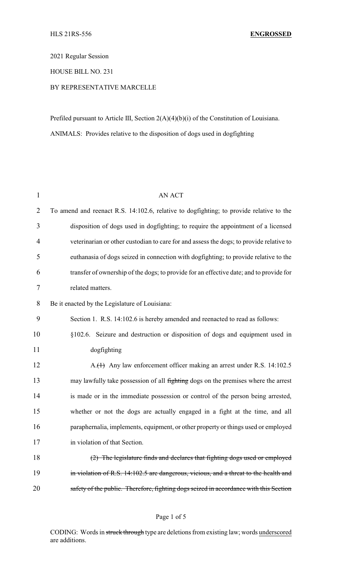2021 Regular Session

HOUSE BILL NO. 231

# BY REPRESENTATIVE MARCELLE

Prefiled pursuant to Article III, Section 2(A)(4)(b)(i) of the Constitution of Louisiana. ANIMALS: Provides relative to the disposition of dogs used in dogfighting

| $\mathbf{1}$   | <b>AN ACT</b>                                                                           |  |  |
|----------------|-----------------------------------------------------------------------------------------|--|--|
| $\overline{2}$ | To amend and reenact R.S. 14:102.6, relative to dogfighting; to provide relative to the |  |  |
| 3              | disposition of dogs used in dogfighting; to require the appointment of a licensed       |  |  |
| $\overline{4}$ | veterinarian or other custodian to care for and assess the dogs; to provide relative to |  |  |
| 5              | euthanasia of dogs seized in connection with dogfighting; to provide relative to the    |  |  |
| 6              | transfer of ownership of the dogs; to provide for an effective date; and to provide for |  |  |
| $\tau$         | related matters.                                                                        |  |  |
| 8              | Be it enacted by the Legislature of Louisiana:                                          |  |  |
| 9              | Section 1. R.S. 14:102.6 is hereby amended and reenacted to read as follows:            |  |  |
| 10             | §102.6. Seizure and destruction or disposition of dogs and equipment used in            |  |  |
| 11             | dogfighting                                                                             |  |  |
| 12             | A.(1) Any law enforcement officer making an arrest under R.S. 14:102.5                  |  |  |
| 13             | may lawfully take possession of all fighting dogs on the premises where the arrest      |  |  |
| 14             | is made or in the immediate possession or control of the person being arrested,         |  |  |
| 15             | whether or not the dogs are actually engaged in a fight at the time, and all            |  |  |
| 16             | paraphernalia, implements, equipment, or other property or things used or employed      |  |  |
| 17             | in violation of that Section.                                                           |  |  |
| 18             | (2) The legislature finds and declares that fighting dogs used or employed              |  |  |
| 19             | in violation of R.S. 14:102.5 are dangerous, vicious, and a threat to the health and    |  |  |
| 20             | safety of the public. Therefore, fighting dogs seized in accordance with this Section   |  |  |

#### Page 1 of 5

CODING: Words in struck through type are deletions from existing law; words underscored are additions.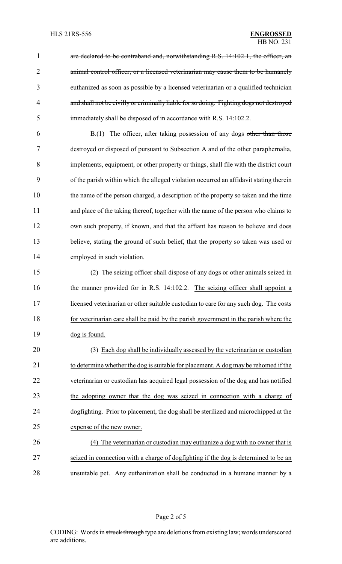1 are declared to be contraband and, notwithstanding R.S. 14:102.1, the officer, an 2 animal control officer, or a licensed veterinarian may cause them to be humanely euthanized as soon as possible by a licensed veterinarian or a qualified technician and shall not be civilly or criminally liable for so doing. Fighting dogs not destroyed immediately shall be disposed of in accordance with R.S. 14:102.2.

 B.(1) The officer, after taking possession of any dogs other than those destroyed or disposed of pursuant to Subsection A and of the other paraphernalia, implements, equipment, or other property or things, shall file with the district court of the parish within which the alleged violation occurred an affidavit stating therein the name of the person charged, a description of the property so taken and the time and place of the taking thereof, together with the name of the person who claims to own such property, if known, and that the affiant has reason to believe and does believe, stating the ground of such belief, that the property so taken was used or employed in such violation.

 (2) The seizing officer shall dispose of any dogs or other animals seized in 16 the manner provided for in R.S. 14:102.2. The seizing officer shall appoint a licensed veterinarian or other suitable custodian to care for any such dog. The costs for veterinarian care shall be paid by the parish government in the parish where the dog is found.

 (3) Each dog shall be individually assessed by the veterinarian or custodian to determine whether the dog is suitable for placement. A dog may be rehomed if the veterinarian or custodian has acquired legal possession of the dog and has notified 23 the adopting owner that the dog was seized in connection with a charge of dogfighting. Prior to placement, the dog shall be sterilized and microchipped at the expense of the new owner.

 (4) The veterinarian or custodian may euthanize a dog with no owner that is seized in connection with a charge of dogfighting if the dog is determined to be an unsuitable pet. Any euthanization shall be conducted in a humane manner by a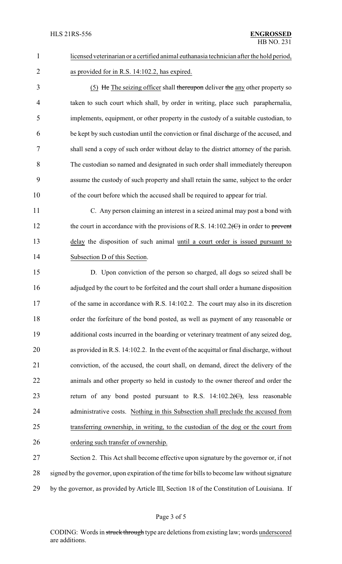# licensed veterinarian or a certified animal euthanasia technician after the hold period, as provided for in R.S. 14:102.2, has expired.

 (5) He The seizing officer shall thereupon deliver the any other property so taken to such court which shall, by order in writing, place such paraphernalia, implements, equipment, or other property in the custody of a suitable custodian, to be kept by such custodian until the conviction or final discharge of the accused, and shall send a copy of such order without delay to the district attorney of the parish. The custodian so named and designated in such order shall immediately thereupon assume the custody of such property and shall retain the same, subject to the order of the court before which the accused shall be required to appear for trial.

- C. Any person claiming an interest in a seized animal may post a bond with 12 the court in accordance with the provisions of R.S. 14:102.2 $\left(\frac{C}{C}\right)$  in order to prevent 13 delay the disposition of such animal until a court order is issued pursuant to Subsection D of this Section.
- D. Upon conviction of the person so charged, all dogs so seized shall be 16 adjudged by the court to be forfeited and the court shall order a humane disposition of the same in accordance with R.S. 14:102.2. The court may also in its discretion order the forfeiture of the bond posted, as well as payment of any reasonable or 19 additional costs incurred in the boarding or veterinary treatment of any seized dog, as provided in R.S. 14:102.2. In the event of the acquittal or final discharge, without conviction, of the accused, the court shall, on demand, direct the delivery of the animals and other property so held in custody to the owner thereof and order the 23 return of any bond posted pursuant to R.S.  $14:102.2(\text{C})$ , less reasonable 24 administrative costs. Nothing in this Subsection shall preclude the accused from transferring ownership, in writing, to the custodian of the dog or the court from ordering such transfer of ownership.

 Section 2. This Act shall become effective upon signature by the governor or, if not signed by the governor, upon expiration of the time for bills to become law without signature by the governor, as provided by Article III, Section 18 of the Constitution of Louisiana. If

CODING: Words in struck through type are deletions from existing law; words underscored are additions.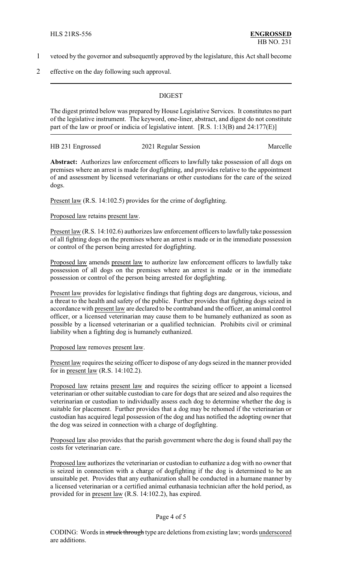- 1 vetoed by the governor and subsequently approved by the legislature, this Act shall become
- 2 effective on the day following such approval.

# **DIGEST**

The digest printed below was prepared by House Legislative Services. It constitutes no part of the legislative instrument. The keyword, one-liner, abstract, and digest do not constitute part of the law or proof or indicia of legislative intent. [R.S. 1:13(B) and 24:177(E)]

| HB 231 Engrossed | 2021 Regular Session | Marcelle |
|------------------|----------------------|----------|
|                  |                      |          |

**Abstract:** Authorizes law enforcement officers to lawfully take possession of all dogs on premises where an arrest is made for dogfighting, and provides relative to the appointment of and assessment by licensed veterinarians or other custodians for the care of the seized dogs.

Present <u>law</u> (R.S. 14:102.5) provides for the crime of dogfighting.

#### Proposed law retains present law.

Present law (R.S. 14:102.6) authorizes law enforcement officers to lawfully take possession of all fighting dogs on the premises where an arrest is made or in the immediate possession or control of the person being arrested for dogfighting.

Proposed law amends present law to authorize law enforcement officers to lawfully take possession of all dogs on the premises where an arrest is made or in the immediate possession or control of the person being arrested for dogfighting.

Present law provides for legislative findings that fighting dogs are dangerous, vicious, and a threat to the health and safety of the public. Further provides that fighting dogs seized in accordance with present law are declared to be contraband and the officer, an animal control officer, or a licensed veterinarian may cause them to be humanely euthanized as soon as possible by a licensed veterinarian or a qualified technician. Prohibits civil or criminal liability when a fighting dog is humanely euthanized.

## Proposed law removes present law.

Present law requires the seizing officer to dispose of any dogs seized in the manner provided for in present law (R.S. 14:102.2).

Proposed law retains present law and requires the seizing officer to appoint a licensed veterinarian or other suitable custodian to care for dogs that are seized and also requires the veterinarian or custodian to individually assess each dog to determine whether the dog is suitable for placement. Further provides that a dog may be rehomed if the veterinarian or custodian has acquired legal possession of the dog and has notified the adopting owner that the dog was seized in connection with a charge of dogfighting.

Proposed law also provides that the parish government where the dog is found shall pay the costs for veterinarian care.

Proposed law authorizes the veterinarian or custodian to euthanize a dog with no owner that is seized in connection with a charge of dogfighting if the dog is determined to be an unsuitable pet. Provides that any euthanization shall be conducted in a humane manner by a licensed veterinarian or a certified animal euthanasia technician after the hold period, as provided for in present law (R.S. 14:102.2), has expired.

## Page 4 of 5